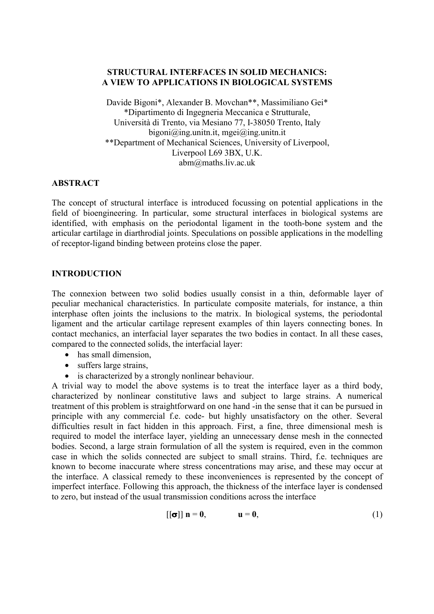# **STRUCTURAL INTERFACES IN SOLID MECHANICS: A VIEW TO APPLICATIONS IN BIOLOGICAL SYSTEMS**

Davide Bigoni\*, Alexander B. Movchan\*\*, Massimiliano Gei\* \*Dipartimento di Ingegneria Meccanica e Strutturale, Università di Trento, via Mesiano 77, I-38050 Trento, Italy bigoni $\omega$ ing.unitn.it, mgei $\omega$ ing.unitn.it \*\*Department of Mechanical Sciences, University of Liverpool, Liverpool L69 3BX, U.K. abm@maths.liv.ac.uk

# **ABSTRACT**

The concept of structural interface is introduced focussing on potential applications in the field of bioengineering. In particular, some structural interfaces in biological systems are identified, with emphasis on the periodontal ligament in the tooth-bone system and the articular cartilage in diarthrodial joints. Speculations on possible applications in the modelling of receptor-ligand binding between proteins close the paper.

# **INTRODUCTION**

The connexion between two solid bodies usually consist in a thin, deformable layer of peculiar mechanical characteristics. In particulate composite materials, for instance, a thin interphase often joints the inclusions to the matrix. In biological systems, the periodontal ligament and the articular cartilage represent examples of thin layers connecting bones. In contact mechanics, an interfacial layer separates the two bodies in contact. In all these cases, compared to the connected solids, the interfacial layer:

- has small dimension,
- suffers large strains,
- is characterized by a strongly nonlinear behaviour.

A trivial way to model the above systems is to treat the interface layer as a third body, characterized by nonlinear constitutive laws and subject to large strains. A numerical treatment of this problem is straightforward on one hand -in the sense that it can be pursued in principle with any commercial f.e. code- but highly unsatisfactory on the other. Several difficulties result in fact hidden in this approach. First, a fine, three dimensional mesh is required to model the interface layer, yielding an unnecessary dense mesh in the connected bodies. Second, a large strain formulation of all the system is required, even in the common case in which the solids connected are subject to small strains. Third, f.e. techniques are known to become inaccurate where stress concentrations may arise, and these may occur at the interface. A classical remedy to these inconveniences is represented by the concept of imperfect interface. Following this approach, the thickness of the interface layer is condensed to zero, but instead of the usual transmission conditions across the interface

$$
[[\sigma]] \mathbf{n} = \mathbf{0}, \qquad \mathbf{u} = \mathbf{0}, \tag{1}
$$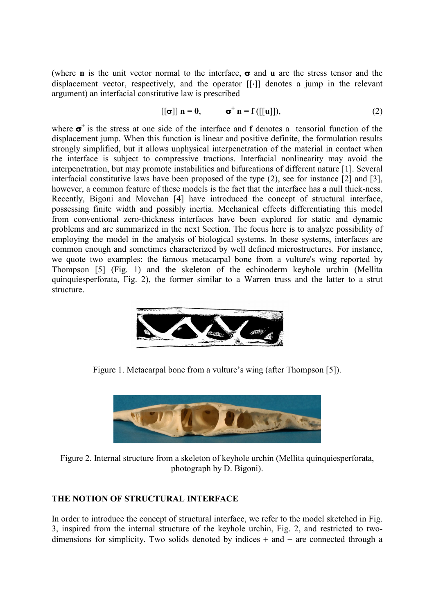(where **n** is the unit vector normal to the interface, **σ** and **u** are the stress tensor and the displacement vector, respectively, and the operator [[⋅]] denotes a jump in the relevant argument) an interfacial constitutive law is prescribed

$$
\left[\left[\sigma\right]\right] \mathbf{n} = \mathbf{0}, \qquad \sigma^+ \mathbf{n} = \mathbf{f}\left(\left[\left[\mathbf{u}\right]\right]\right),\tag{2}
$$

where  $\sigma^+$  is the stress at one side of the interface and **f** denotes a tensorial function of the displacement jump. When this function is linear and positive definite, the formulation results strongly simplified, but it allows unphysical interpenetration of the material in contact when the interface is subject to compressive tractions. Interfacial nonlinearity may avoid the interpenetration, but may promote instabilities and bifurcations of different nature [1]. Several interfacial constitutive laws have been proposed of the type (2), see for instance [2] and [3], however, a common feature of these models is the fact that the interface has a null thick-ness. Recently, Bigoni and Movchan [4] have introduced the concept of structural interface, possessing finite width and possibly inertia. Mechanical effects differentiating this model from conventional zero-thickness interfaces have been explored for static and dynamic problems and are summarized in the next Section. The focus here is to analyze possibility of employing the model in the analysis of biological systems. In these systems, interfaces are common enough and sometimes characterized by well defined microstructures. For instance, we quote two examples: the famous metacarpal bone from a vulture's wing reported by Thompson [5] (Fig. 1) and the skeleton of the echinoderm keyhole urchin (Mellita quinquiesperforata, Fig. 2), the former similar to a Warren truss and the latter to a strut structure.



Figure 1. Metacarpal bone from a vulture's wing (after Thompson [5]).



Figure 2. Internal structure from a skeleton of keyhole urchin (Mellita quinquiesperforata, photograph by D. Bigoni).

# **THE NOTION OF STRUCTURAL INTERFACE**

In order to introduce the concept of structural interface, we refer to the model sketched in Fig. 3, inspired from the internal structure of the keyhole urchin, Fig. 2, and restricted to twodimensions for simplicity. Two solids denoted by indices + and − are connected through a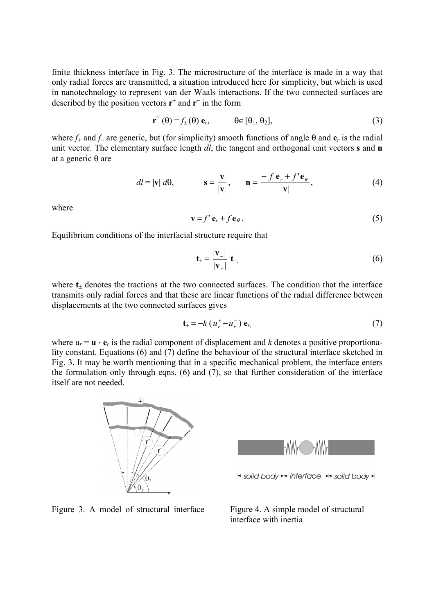finite thickness interface in Fig. 3. The microstructure of the interface is made in a way that only radial forces are transmitted, a situation introduced here for simplicity, but which is used in nanotechnology to represent van der Waals interactions. If the two connected surfaces are described by the position vectors  $\mathbf{r}^+$  and  $\mathbf{r}^-$  in the form

$$
\mathbf{r}^{\pm}(\theta) = f_{\pm}(\theta) \mathbf{e}_r, \qquad \theta \in [\theta_1, \theta_2], \qquad (3)
$$

where *f*+ and *f*− are generic, but (for simplicity) smooth functions of angle θ and **e***r* is the radial unit vector. The elementary surface length *dl*, the tangent and orthogonal unit vectors **s** and **n** at a generic θ are

$$
dl = |\mathbf{v}| \, d\theta, \qquad \mathbf{s} = \frac{\mathbf{v}}{|\mathbf{v}|}, \qquad \mathbf{n} = \frac{-f \, \mathbf{e}_r + f' \mathbf{e}_\theta}{|\mathbf{v}|}, \tag{4}
$$

where

$$
\mathbf{v} = f' \mathbf{e}_r + f \mathbf{e}_\theta. \tag{5}
$$

Equilibrium conditions of the interfacial structure require that

$$
\mathbf{t}_{+} = \frac{|\mathbf{v}_{-}|}{|\mathbf{v}_{+}|} \mathbf{t}_{-},\tag{6}
$$

where  $t<sub>±</sub>$  denotes the tractions at the two connected surfaces. The condition that the interface transmits only radial forces and that these are linear functions of the radial difference between displacements at the two connected surfaces gives

$$
\mathbf{t}_{+} = -k \left( u_{r}^{+} - u_{r}^{-} \right) \mathbf{e}_{r}, \tag{7}
$$

where  $u_r = \mathbf{u} \cdot \mathbf{e}_r$  is the radial component of displacement and *k* denotes a positive proportionality constant. Equations (6) and (7) define the behaviour of the structural interface sketched in Fig. 3. It may be worth mentioning that in a specific mechanical problem, the interface enters the formulation only through eqns. (6) and  $(7)$ , so that further consideration of the interface itself are not needed.



Figure 3. A model of structural interface

Figure 4. A simple model of structural interface with inertia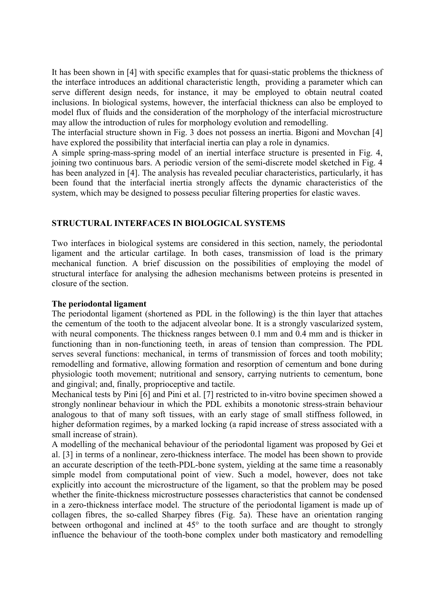It has been shown in [4] with specific examples that for quasi-static problems the thickness of the interface introduces an additional characteristic length, providing a parameter which can serve different design needs, for instance, it may be employed to obtain neutral coated inclusions. In biological systems, however, the interfacial thickness can also be employed to model flux of fluids and the consideration of the morphology of the interfacial microstructure may allow the introduction of rules for morphology evolution and remodelling.

The interfacial structure shown in Fig. 3 does not possess an inertia. Bigoni and Movchan [4] have explored the possibility that interfacial inertia can play a role in dynamics.

A simple spring-mass-spring model of an inertial interface structure is presented in Fig. 4, joining two continuous bars. A periodic version of the semi-discrete model sketched in Fig. 4 has been analyzed in [4]. The analysis has revealed peculiar characteristics, particularly, it has been found that the interfacial inertia strongly affects the dynamic characteristics of the system, which may be designed to possess peculiar filtering properties for elastic waves.

### **STRUCTURAL INTERFACES IN BIOLOGICAL SYSTEMS**

Two interfaces in biological systems are considered in this section, namely, the periodontal ligament and the articular cartilage. In both cases, transmission of load is the primary mechanical function. A brief discussion on the possibilities of employing the model of structural interface for analysing the adhesion mechanisms between proteins is presented in closure of the section.

### **The periodontal ligament**

The periodontal ligament (shortened as PDL in the following) is the thin layer that attaches the cementum of the tooth to the adjacent alveolar bone. It is a strongly vascularized system, with neural components. The thickness ranges between 0.1 mm and 0.4 mm and is thicker in functioning than in non-functioning teeth, in areas of tension than compression. The PDL serves several functions: mechanical, in terms of transmission of forces and tooth mobility; remodelling and formative, allowing formation and resorption of cementum and bone during physiologic tooth movement; nutritional and sensory, carrying nutrients to cementum, bone and gingival; and, finally, proprioceptive and tactile.

Mechanical tests by Pini [6] and Pini et al. [7] restricted to in-vitro bovine specimen showed a strongly nonlinear behaviour in which the PDL exhibits a monotonic stress-strain behaviour analogous to that of many soft tissues, with an early stage of small stiffness followed, in higher deformation regimes, by a marked locking (a rapid increase of stress associated with a small increase of strain).

A modelling of the mechanical behaviour of the periodontal ligament was proposed by Gei et al. [3] in terms of a nonlinear, zero-thickness interface. The model has been shown to provide an accurate description of the teeth-PDL-bone system, yielding at the same time a reasonably simple model from computational point of view. Such a model, however, does not take explicitly into account the microstructure of the ligament, so that the problem may be posed whether the finite-thickness microstructure possesses characteristics that cannot be condensed in a zero-thickness interface model. The structure of the periodontal ligament is made up of collagen fibres, the so-called Sharpey fibres (Fig. 5a). These have an orientation ranging between orthogonal and inclined at 45° to the tooth surface and are thought to strongly influence the behaviour of the tooth-bone complex under both masticatory and remodelling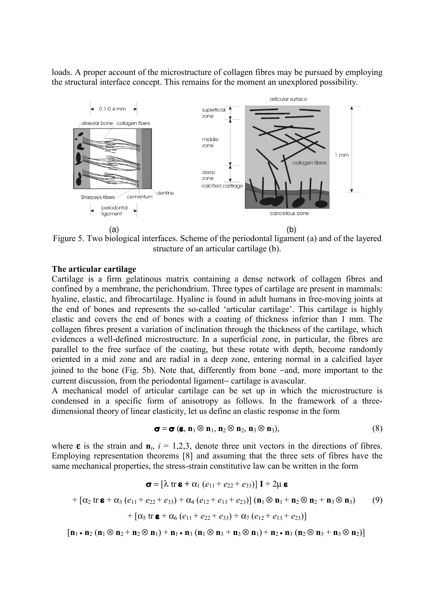loads. A proper account of the microstructure of collagen fibres may be pursued by employing the structural interface concept. This remains for the moment an unexplored possibility.



Figure 5. Two biological interfaces. Scheme of the periodontal ligament (a) and of the layered structure of an articular cartilage (b).

## **The articular cartilage**

Cartilage is a firm gelatinous matrix containing a dense network of collagen fibres and confined by a membrane, the perichondrium. Three types of cartilage are present in mammals: hyaline, elastic, and fibrocartilage. Hyaline is found in adult humans in free-moving joints at the end of bones and represents the so-called 'articular cartilage'. This cartilage is highly elastic and covers the end of bones with a coating of thickness inferior than 1 mm. The collagen fibres present a variation of inclination through the thickness of the cartilage, which evidences a well-defined microstructure. In a superficial zone, in particular, the fibres are parallel to the free surface of the coating, but these rotate with depth, become randomly oriented in a mid zone and are radial in a deep zone, entering normal in a calcified layer joined to the bone (Fig. 5b). Note that, differently from bone −and, more important to the current discussion, from the periodontal ligament− cartilage is avascular.

A mechanical model of articular cartilage can be set up in which the microstructure is condensed in a specific form of anisotropy as follows. In the framework of a threedimensional theory of linear elasticity, let us define an elastic response in the form

$$
\boldsymbol{\sigma} = \boldsymbol{\sigma} \left( \boldsymbol{\varepsilon}, \, \mathbf{n}_1 \otimes \mathbf{n}_1, \, \mathbf{n}_2 \otimes \mathbf{n}_2, \, \mathbf{n}_3 \otimes \mathbf{n}_3 \right),\tag{8}
$$

where  $\epsilon$  is the strain and  $\mathbf{n}_i$ ,  $i = 1,2,3$ , denote three unit vectors in the directions of fibres. Employing representation theorems [8] and assuming that the three sets of fibres have the same mechanical properties, the stress-strain constitutive law can be written in the form

$$
\boldsymbol{\sigma} = [\lambda \operatorname{tr} \boldsymbol{\varepsilon} + \alpha_1 (e_{11} + e_{22} + e_{33})] \mathbf{I} + 2\mu \boldsymbol{\varepsilon}
$$
  
+ 
$$
[\alpha_2 \operatorname{tr} \boldsymbol{\varepsilon} + \alpha_3 (e_{11} + e_{22} + e_{33}) + \alpha_4 (e_{12} + e_{13} + e_{23})] (\mathbf{n}_1 \otimes \mathbf{n}_1 + \mathbf{n}_2 \otimes \mathbf{n}_2 + \mathbf{n}_3 \otimes \mathbf{n}_3)
$$
(9)  
+ 
$$
[\alpha_5 \operatorname{tr} \boldsymbol{\varepsilon} + \alpha_6 (e_{11} + e_{22} + e_{33}) + \alpha_7 (e_{12} + e_{13} + e_{23})]
$$

 $[$ **n**<sub>1</sub> • **n**<sub>2</sub> (**n**<sub>1</sub> ⊗**n**<sub>2</sub> +**n**<sub>2</sub> ⊗**n**<sub>1</sub>) +**n**<sub>1</sub> •**n**<sub>3</sub> (**n**<sub>1</sub> ⊗**n**<sub>3</sub> +**n**<sub>3</sub> ⊗**n**<sub>1</sub>) +**n**<sub>2</sub> •**n**<sub>3</sub> (**n**<sub>2</sub> ⊗**n**<sub>3</sub> +**n**<sub>3</sub> ⊗**n**<sub>2</sub>)]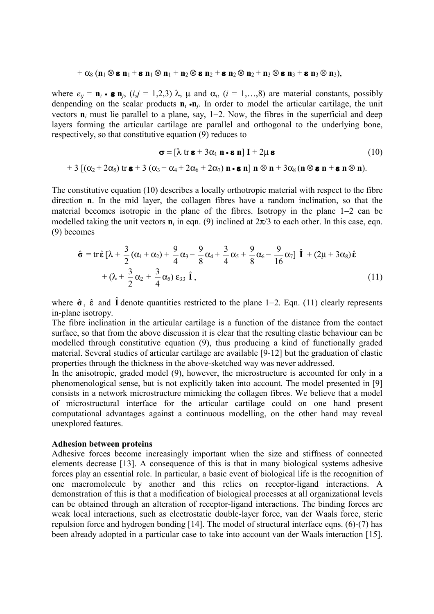$$
+\alpha_8\,(\mathbf{n}_1\otimes\mathbf{e}\,\mathbf{n}_1+\mathbf{e}\,\mathbf{n}_1\otimes\mathbf{n}_1+\mathbf{n}_2\otimes\mathbf{e}\,\mathbf{n}_2+\mathbf{e}\,\mathbf{n}_2\otimes\mathbf{n}_2+\mathbf{n}_3\otimes\mathbf{e}\,\mathbf{n}_3+\mathbf{e}\,\mathbf{n}_3\otimes\mathbf{n}_3),
$$

where  $e_{ij} = \mathbf{n}_i \cdot \mathbf{\varepsilon} \mathbf{n}_j$ ,  $(i, j = 1, 2, 3)$   $\lambda$ ,  $\mu$  and  $\alpha_i$ ,  $(i = 1, \ldots, 8)$  are material constants, possibly denpending on the scalar products  $\mathbf{n}_i \cdot \mathbf{n}_j$ . In order to model the articular cartilage, the unit vectors **n***i* must lie parallel to a plane, say, 1−2. Now, the fibres in the superficial and deep layers forming the articular cartilage are parallel and orthogonal to the underlying bone, respectively, so that constitutive equation (9) reduces to

$$
\boldsymbol{\sigma} = [\lambda \operatorname{tr} \boldsymbol{\varepsilon} + 3\alpha_1 \mathbf{n} \cdot \boldsymbol{\varepsilon} \mathbf{n}] \mathbf{I} + 2\mu \boldsymbol{\varepsilon}
$$
(10)  
+3 
$$
[(\alpha_2 + 2\alpha_5) \operatorname{tr} \boldsymbol{\varepsilon} + 3 (\alpha_3 + \alpha_4 + 2\alpha_6 + 2\alpha_7) \mathbf{n} \cdot \boldsymbol{\varepsilon} \mathbf{n}] \mathbf{n} \otimes \mathbf{n} + 3\alpha_8 (\mathbf{n} \otimes \boldsymbol{\varepsilon} \mathbf{n} + \boldsymbol{\varepsilon} \mathbf{n} \otimes \mathbf{n}).
$$

The constitutive equation (10) describes a locally orthotropic material with respect to the fibre direction **n**. In the mid layer, the collagen fibres have a random inclination, so that the material becomes isotropic in the plane of the fibres. Isotropy in the plane 1−2 can be modelled taking the unit vectors  $\mathbf{n}_i$  in eqn. (9) inclined at  $2\pi/3$  to each other. In this case, eqn. (9) becomes

$$
\hat{\sigma} = \text{tr}\,\hat{\boldsymbol{\epsilon}}\left[\lambda + \frac{3}{2}(\alpha_1 + \alpha_2) + \frac{9}{4}\alpha_3 - \frac{9}{8}\alpha_4 + \frac{3}{4}\alpha_5 + \frac{9}{8}\alpha_6 - \frac{9}{16}\alpha_7\right]\,\hat{\mathbf{I}} + (2\mu + 3\alpha_8)\hat{\boldsymbol{\epsilon}}
$$

$$
+ (\lambda + \frac{3}{2}\alpha_2 + \frac{3}{4}\alpha_5)\,\epsilon_{33}\,\hat{\mathbf{I}},\tag{11}
$$

where  $\hat{\sigma}$ ,  $\hat{\epsilon}$  and  $\hat{\mathbf{l}}$  denote quantities restricted to the plane 1−2. Eqn. (11) clearly represents in-plane isotropy.

The fibre inclination in the articular cartilage is a function of the distance from the contact surface, so that from the above discussion it is clear that the resulting elastic behaviour can be modelled through constitutive equation (9), thus producing a kind of functionally graded material. Several studies of articular cartilage are available [9-12] but the graduation of elastic properties through the thickness in the above-sketched way was never addressed.

In the anisotropic, graded model (9), however, the microstructure is accounted for only in a phenomenological sense, but is not explicitly taken into account. The model presented in [9] consists in a network microstructure mimicking the collagen fibres. We believe that a model of microstructural interface for the articular cartilage could on one hand present computational advantages against a continuous modelling, on the other hand may reveal unexplored features.

#### **Adhesion between proteins**

Adhesive forces become increasingly important when the size and stiffness of connected elements decrease [13]. A consequence of this is that in many biological systems adhesive forces play an essential role. In particular, a basic event of biological life is the recognition of one macromolecule by another and this relies on receptor-ligand interactions. A demonstration of this is that a modification of biological processes at all organizational levels can be obtained through an alteration of receptor-ligand interactions. The binding forces are weak local interactions, such as electrostatic double-layer force, van der Waals force, steric repulsion force and hydrogen bonding [14]. The model of structural interface eqns. (6)-(7) has been already adopted in a particular case to take into account van der Waals interaction [15].